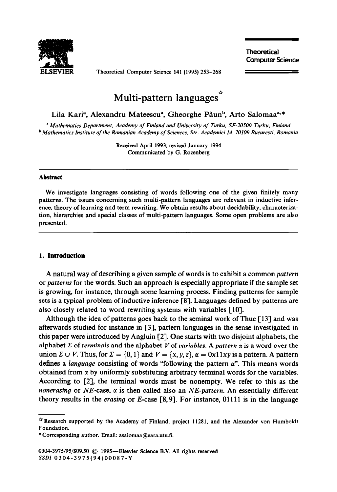

Theoretical Computer Science 141 (1995) 253-268

**Theoretical Computer Science** 

# Multi-pattern languages<sup>\*</sup>

Lila Kari<sup>a</sup>, Alexandru Mateescu<sup>a</sup>, Gheorghe Păun<sup>b</sup>, Arto Salomaa<sup>a,\*</sup>

'Mathematics *Department, Academy of Finland and University of Turku. SF-20500 Turku. Finland b Mathematics Institute of the Romanian Academy of Sciences, Str. Academiei 14. 70109 Bucuresti, Romania* 

> **Received April 1993; revised January 1994 Communicated by G. Rozenberg**

#### **Abstract**

We **investigate languages consisting of words following one of the given finitely many patterns. The** issues concerning such multi-pattern languages are relevant in inductive inference, theory of learning and term rewriting. We obtain results about decidability, characterization, hierarchies and special classes of multi-pattern languages. Some open problems are also presented.

### **1. Introduction**

A natural way of describing a given sample of words is to exhibit a common *pattern*  or *patterns* for the words. Such an approach is especially appropriate if the sample set is growing, for instance, through some learning process. Finding patterns for sample sets is a typical problem of inductive inference [S]. Languages defined by patterns are also closely related to word rewriting systems with variables [10].

Although the idea of patterns goes back to the seminal work of Thue [13] and was afterwards studied for instance in [3], pattern languages in the sense investigated in this paper were introduced by Angluin [2]. One starts with two disjoint alphabets, the alphabet  $\Sigma$  of *terminals* and the alphabet  $V$  of *variables*. A *pattern*  $\alpha$  is a word over the union  $\Sigma \cup V$ . Thus, for  $\Sigma = \{0, 1\}$  and  $V = \{x, y, z\}$ ,  $\alpha = 0x11xy$  is a pattern. A pattern defines a *language* consisting of words "following the pattern *a".* This means words obtained from  $\alpha$  by uniformly substituting arbitrary terminal words for the variables. According to [2], the terminal words must be nonempty. We refer to this as the *nonerasing* or  $NE$ -case,  $\alpha$  is then called also an *NE-pattern*. An essentially different theory results in the *erasing* or E-case **[S, 91.** For instance, 01111 is in the language

**<sup>\*</sup>Research supported by the Academy of Finland, project 11281, and the Alexander von Humboldt Foundation.** 

**<sup>\*</sup> Corresponding author. Email: asalomaa@sara.utu.ti.**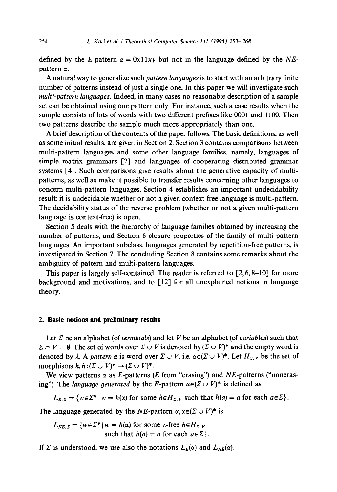defined by the E-pattern  $\alpha = 0x11xy$  but not in the language defined by the *NE*pattern  $\alpha$ .

A natural way to generalize such pattern languages is to start with an arbitrary finite number of patterns instead of just a single one. In this paper we will investigate such *multi-pattern languages.* Indeed, in many cases no reasonable description of a sample set can be obtained using one pattern only. For instance, such a case results when the sample consists of lots of words with two different prefixes like 0001 and 1100. Then two patterns describe the sample much more appropriately than one.

A brief description of the contents of the paper follows. The basic definitions, as well as some initial results, are given in Section 2. Section 3 contains comparisons between multi-pattern languages and some other language families, namely, languages of simple matrix grammars [7] and languages of cooperating distributed grammar systems [4]. Such comparisons give results about the generative capacity of multipatterns, as well as make it possible to transfer results concerning other languages to concern multi-pattern languages. Section 4 establishes an important undecidability result: it is undecidable whether or not a given context-free language is multi-pattern. The decidability status of the reverse problem (whether or not a given multi-pattern language is context-free) is open.

Section 5 deals with the hierarchy of language families obtained by increasing the number of patterns, and Section 6 closure properties of the family of multi-pattern languages. An important subclass, languages generated by repetition-free patterns, is investigated in Section 7. The concluding Section 8 contains some remarks about the ambiguity of pattern and multi-pattern languages.

This paper is largely self-contained. The reader is referred to  $[2,6,8-10]$  for more background and motivations, and to [12] for all unexplained notions in language theory.

## 2. **Basic notions and preliminary results**

Let  $\Sigma$  be an alphabet (of *terminals*) and let V be an alphabet (of *variables*) such that  $\Sigma \cap V = \emptyset$ . The set of words over  $\Sigma \cup V$  is denoted by  $(\Sigma \cup V)^*$  and the empty word is denoted by  $\lambda$ . A *pattern*  $\alpha$  is word over  $\Sigma \cup V$ , i.e.  $\alpha \in (\Sigma \cup V)^*$ . Let  $H_{\Sigma,V}$  be the set of morphisms  $h, h: (\Sigma \cup V)^* \rightarrow (\Sigma \cup V)^*$ .

We view patterns  $\alpha$  as E-patterns (E from "erasing") and NE-patterns ("nonerasing"). The *language generated* by the *E*-pattern  $\alpha \in (\Sigma \cup V)^*$  is defined as

 $L_{E,\Sigma} = \{w \in \Sigma^* | w = h(\alpha) \text{ for some } h \in H_{\Sigma,V} \text{ such that } h(a) = a \text{ for each } a \in \Sigma \}.$ 

The language generated by the *NE*-pattern  $\alpha, \alpha \in (\Sigma \cup V)^*$  is

 $L_{NE,\Sigma} = \{w \in \Sigma^* | w = h(\alpha) \text{ for some } \lambda \text{-free } h \in H_{\Sigma,V} \}$ such that  $h(a) = a$  for each  $a \in \Sigma$ .

If  $\Sigma$  is understood, we use also the notations  $L_E(\alpha)$  and  $L_{NE}(\alpha)$ .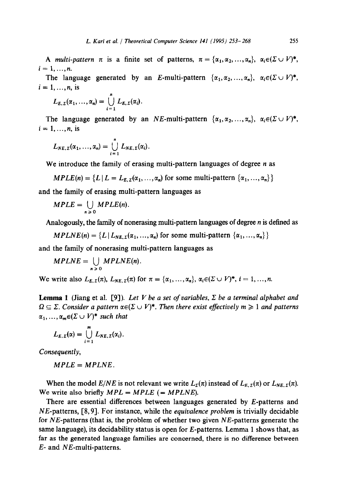A *multi-pattern*  $\pi$  is a finite set of patterns,  $\pi = {\alpha_1, \alpha_2, ..., \alpha_n}$ ,  $\alpha_i \in (\Sigma \cup V)^*$ ,  $i = 1, ..., n$ .

The language generated by an E-multi-pattern  $\{\alpha_1, \alpha_2, ..., \alpha_n\}, \alpha_i \in (\Sigma \cup V)^*$ ,  $i=1, ..., n$ , is

$$
L_{E,\Sigma}(\alpha_1,\ldots,\alpha_n)=\bigcup_{i=1}^n L_{E,\Sigma}(\alpha_i).
$$

The language generated by an *NE*-multi-pattern  $\{\alpha_1, \alpha_2, ..., \alpha_n\}$ ,  $\alpha_i \in (\Sigma \cup V)^*$ ,  $i=1, ..., n$ , is

$$
L_{NE,\Sigma}(\alpha_1,\ldots,\alpha_n)=\bigcup_{i=1}^n L_{NE,\Sigma}(\alpha_i).
$$

We introduce the family of erasing multi-pattern languages of degree  $n$  as

$$
MPLE(n) = \{L \mid L = L_{E,\Sigma}(\alpha_1,\ldots,\alpha_n) \text{ for some multi-pattern } \{\alpha_1,\ldots,\alpha_n\} \}
$$

and the family of erasing multi-pattern languages as

 $MPLE = \bigcup MPLE(n)$ **It>0** 

Analogously, the family of nonerasing multi-pattern languages of degree  $n$  is defined as

 $MPLNE(n) = \{L \mid L_{NE, \Sigma}(\alpha_1, ..., \alpha_n) \text{ for some multi-partern } \{\alpha_1, ..., \alpha_n\} \}$ 

and the family of nonerasing multi-pattern languages as

$$
MPLNE = \bigcup_{n \geq 0} MPLNE(n).
$$

We write also  $L_{E,\Sigma}(\pi)$ ,  $L_{NE,\Sigma}(\pi)$  for  $\pi = {\alpha_1, ..., \alpha_n}$ ,  $\alpha_i \in (\Sigma \cup V)^*$ ,  $i = 1, ..., n$ .

**Lemma 1** (Jiang et al. [9]). Let V be a set of variables,  $\Sigma$  be a terminal alphabet and  $\Omega \subseteq \Sigma$ . Consider a pattern  $\alpha \in (\Sigma \cup V)^*$ . Then there exist effectively  $m \geq 1$  and patterns  $\alpha_1, \ldots, \alpha_m \in (\Sigma \cup V)^*$  such that

$$
L_{E,\Sigma}(\alpha)=\bigcup_{i=1}^m L_{NE,\Sigma}(\alpha_i).
$$

*Consequently,* 

*MPLE = MPLNE.* 

When the model  $E/NE$  is not relevant we write  $L_z(\pi)$  instead of  $L_{E_z}(\pi)$  or  $L_{NE_z}(\pi)$ . We write also briefly *MPL = MPLE (= MPLNE).* 

There are essential differences between languages generated by E-patterns and NE-patterns, [8,9]. For instance, while the *equivalence problem* is trivially decidable for  $NE$ -patterns (that is, the problem of whether two given  $NE$ -patterns generate the same language), its decidability status is open for E-patterns. Lemma 1 shows that, as far as the generated language families are concerned, there is no difference between *E-* and NE-multi-patterns.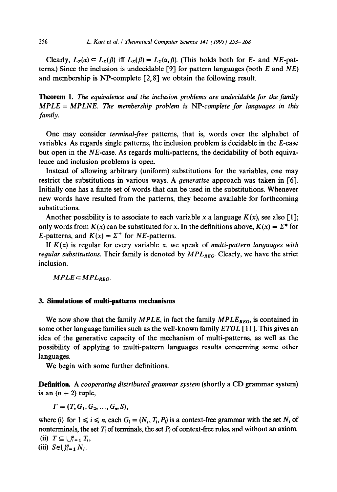Clearly,  $L_z(\alpha) \subseteq L_z(\beta)$  iff  $L_z(\beta) = L_z(\alpha, \beta)$ . (This holds both for *E*- and *NE*-patterns.) Since the inclusion is undecidable [9] for pattern languages (both *E* and *NE)*  and membership is NP-complete [2,8] we obtain the following result.

**Theorem 1. The** *equivalence and the inclusion problems are undecidable for the family MPLE = MPLNE. The membership problem is NP-complete for languages in this family.* 

One may consider *terminal-free* patterns, that is, words over the alphabet of variables. As regards single patterns, the inclusion problem is decidable in the E-case but open in the NE-case. As regards multi-patterns, the decidability of both equivalence and inclusion problems is open.

Instead of allowing arbitrary (uniform) substitutions for the variables, one may restrict the substitutions in various ways. A *generative* approach was taken in [6]. Initially one has a finite set of words that can be used in the substitutions. Whenever new words have resulted from the patterns, they become available for forthcoming substitutions.

Another possibility is to associate to each variable x a language  $K(x)$ , see also [1]; only words from  $K(x)$  can be substituted for x. In the definitions above,  $K(x) = \Sigma^*$  for E-patterns, and  $K(x) = \Sigma^+$  for *NE*-patterns.

If  $K(x)$  is regular for every variable x, we speak of *multi-pattern languages with regular substitutions.* Their family is denoted by  $MPL_{REG}$ . Clearly, we have the strict inclusion.

 $MPLE \subseteq MPL_{\text{PEC}}$ .

## 3. **Simulations of multi-patterns mechanisms**

We now show that the family *MPLE*, in fact the family *MPLE*<sub>REG</sub>, is contained in some other language families such as the well-known family *ETOL [* 111. This gives an idea of the generative capacity of the mechanism of multi-patterns, as well as the possibility of applying to multi-pattern languages results concerning some other languages.

We begin with some further definitions.

**Definition.** A *cooperating distributed grammar system* (shortly a CD grammar system) is an  $(n + 2)$  tuple,

 $\Gamma = (T, G_1, G_2, ..., G_m, S),$ 

where (i) for  $1 \le i \le n$ , each  $G_i = (N_i, T_i, P_i)$  is a context-free grammar with the set  $N_i$  of nonterminals, the set  $T_i$  of terminals, the set  $P_i$  of context-free rules, and without an axiom. (ii)  $T \subseteq \bigcup_{i=1}^n T_i$ , (iii)  $S \in \bigcup_{i=1}^n N_i$ .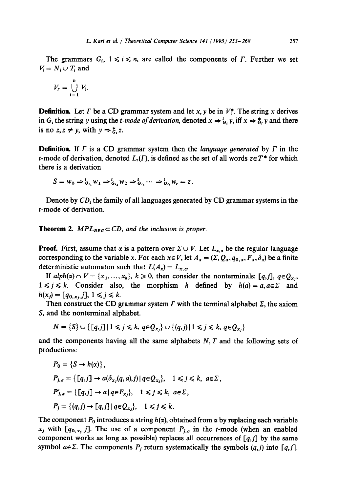The grammars  $G_i$ ,  $1 \leq i \leq n$ , are called the components of  $\Gamma$ . Further we set  $V_i = N_i \cup T_i$  and

$$
V_r = \bigcup_{i=1}^n V_i.
$$

**Definition.** Let T be a CD grammar system and let x, y be in  $V_t^*$ . The string x derives in  $G_i$  the string y using the *t-mode of derivation*, denoted  $x \Rightarrow_{G_i}^t y$ , iff  $x \Rightarrow_{G_i}^t y$  and there is no  $z, z \neq y$ , with  $y \Rightarrow z, z$ .

**Definition.** If  $\Gamma$  is a CD grammar system then the *language generated* by  $\Gamma$  in the t-mode of derivation, denoted  $L_t(\Gamma)$ , is defined as the set of all words  $z \in T^*$  for which there is a derivation

$$
S = w_0 \Rightarrow_{G_{i_1}}^t w_1 \Rightarrow_{G_{i_2}}^t w_2 \Rightarrow_{G_{i_3}}^t \cdots \Rightarrow_{G_{i_r}}^t w_r = z.
$$

Denote by  $CD_t$ , the family of all languages generated by CD grammar systems in the t-mode of derivation.

**Theorem 2.**  $MPL_{REG} \subset CD$ , and the inclusion is proper.

**Proof.** First, assume that  $\alpha$  is a pattern over  $\Sigma \cup V$ . Let  $L_{x,\alpha}$  be the regular language corresponding to the variable x. For each  $x \in V$ , let  $A_x = (\Sigma, Q_x, q_{0,x}, F_x, \delta_x)$  be a finite deterministic automaton such that  $L(A_x) = L_{x,x}$ .

If  $alpha(x) \cap V = \{x_1, \ldots, x_k\}, k \ge 0$ , then consider the nonterminals:  $[q, j]$ ,  $q \in Q_x$ ,  $1 \le j \le k$ . Consider also, the morphism *h* defined by  $h(a) = a, a \in \Sigma$  and  $h(x_j) = [q_{0,x_i},j], 1 \leq j \leq k.$ 

Then construct the CD grammar system  $\Gamma$  with the terminal alphabet  $\Sigma$ , the axiom S, and the nonterminal alphabet.

$$
N = \{S\} \cup \{[q,j] \mid 1 \leq j \leq k, q \in Q_{x_j}\} \cup \{(q,j) \mid 1 \leq j \leq k, q \in Q_{x_j}\}
$$

and the components having all the same alphabets N, *T* and the following sets of productions:

$$
P_0 = \{S \rightarrow h(\alpha)\},
$$
  
\n
$$
P_{j,a} = \{[q,j] \rightarrow a(\delta_{x_j}(q,a),j) | q \in Q_{x_j}\}, \quad 1 \le j \le k, \ a \in \Sigma,
$$
  
\n
$$
P'_{j,a} = \{[q,j] \rightarrow a | q \in F_{x_j}\}, \quad 1 \le j \le k, \ a \in \Sigma,
$$
  
\n
$$
P_j = \{(q,j) \rightarrow [q,j] | q \in Q_{x_j}\}, \quad 1 \le j \le k.
$$

The component  $P_0$  introduces a string  $h(\alpha)$ , obtained from  $\alpha$  by replacing each variable  $x_j$  with  $[q_{0,x_j},j]$ . The use of a component  $P_{j,a}$  in the t-mode (when an enabled component works as long as possible) replaces all occurrences of *[q,J* by the same symbol  $a \in \Sigma$ . The components  $P_j$  return systematically the symbols  $(q, j)$  into  $[q, j]$ .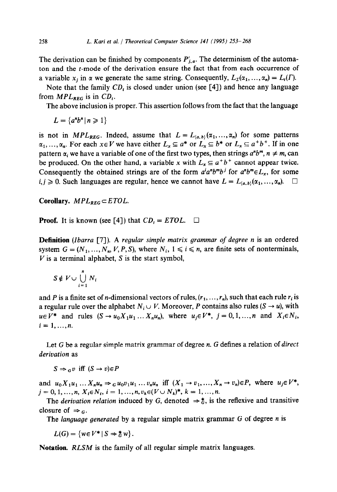The derivation can be finished by components  $P'_{i,a}$ . The determinism of the automaton and the t-mode of the derivation ensure the fact that from each occurrence of a variable  $x_i$  in  $\alpha$  we generate the same string. Consequently,  $L_x(\alpha_1, ..., \alpha_n) = L_y(\Gamma)$ .

Note that the family *CD,* is closed under union (see [4]) and hence any language from  $MPL_{REG}$  is in  $CD_t$ .

The above inclusion is proper. This assertion follows from the fact that the language

 $L = \{a^n b^n | n \ge 1\}$ 

is not in *MPL<sub>REG</sub>*. Indeed, assume that  $L = L_{\{a,b\}}(\alpha_1, ..., \alpha_n)$  for some patterns  $\alpha_1, \ldots, \alpha_n$ . For each  $x \in V$  we have either  $L_x \subseteq a^*$  or  $L_x \subseteq b^*$  or  $L_x \subseteq a^+b^+$ . If in one pattern  $\alpha_i$  we have a variable of one of the first two types, then strings  $a^n b^m$ ,  $n \neq m$ , can be produced. On the other hand, a variable x with  $L_x \n\subseteq a^+b^+$  cannot appear twice. Consequently the obtained strings are of the form  $a^i a^n b^m b^j$  for  $a^n b^m \in L_x$ , for some  $i,j \geq 0$ . Such languages are regular, hence we cannot have  $L = L_{(a,b)}(\alpha_1, \ldots, \alpha_n)$ .  $\square$ 

**Corollary.**  $MPL_{REG} \subset ETOL$ .

**Proof.** It is known (see [4]) that  $CD_t = ETOL$ .  $\Box$ 

**Definition** *(Ibarra [7]).* A *regular simple matrix grammar of degree n* is an ordered system  $G = (N_1, ..., N_n, V, P, S)$ , where  $N_i$ ,  $1 \le i \le n$ , are finite sets of nonterminals,  $V$  is a terminal alphabet,  $S$  is the start symbol,

$$
S \notin V \cup \bigcup_{i=1}^{n} N_i
$$

and *P* is a finite set of *n*-dimensional vectors of rules,  $(r_1, \ldots, r_n)$ , such that each rule  $r_i$  is a regular rule over the alphabet  $N_i \cup V$ . Moreover, *P* contains also rules (S  $\rightarrow u$ ), with  $u \in V^*$  and rules  $(S \to u_0 X_1 u_1 ... X_n u_n)$ , where  $u_j \in V^*$ ,  $j = 0, 1, ..., n$  and  $X_i \in N_i$ ,  $i = 1, ..., n$ .

Let G be a regular simple matrix grammar of degree n. G defines a relation of *direct derivation* as

 $S \Rightarrow_{c} v$  iff  $(S \rightarrow v) \in P$ 

and  $u_0X_1u_1 \ldots X_nu_n \Rightarrow_G u_0v_1u_1 \ldots v_nu_n$  iff  $(X_1 \rightarrow v_1, \ldots, X_n \rightarrow v_n) \in P$ , where  $u_j \in V^*$ ,  $j = 0, 1, ..., n, X_i \in N_i, i = 1, ..., n, v_k \in (V \cup N_k)^*, k = 1, ..., n.$ 

The *derivation relation* induced by G, denoted  $\Rightarrow \xi$ , is the reflexive and transitive closure of  $\Rightarrow$  c.

The *language generated* by a regular simple matrix grammar G of degree *n* is

 $L(G) = \{w \in V^* | S \Rightarrow \xi w\}.$ 

**Notation.** *RLSM* is the family of all regular simple matrix languages.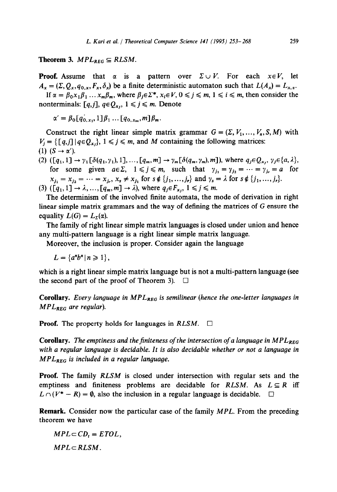**Theorem 3.**  $MPL_{REG} \subseteq RLSM$ .

**Proof.** Assume that  $\alpha$  is a pattern over  $\Sigma \cup V$ . For each  $x \in V$ , let  $A_x = (\Sigma, Q_x, q_{0,x}, F_x, \delta_x)$  be a finite deterministic automaton such that  $L(A_x) = L_{x,x}$ . *If*  $\alpha = \beta_0 x_1 \beta_1 \dots x_m \beta_m$ , where  $\beta_j \in \Sigma^*$ ,  $x_i \in V$ ,  $0 \leq j \leq m$ ,  $1 \leq i \leq m$ , then consider the nonterminals:  $[q, j]$ ,  $q \in Q_x$ ,  $1 \leq j \leq m$ . Denote

 $\alpha' = \beta_0[q_{0,x_1}, 1] \beta_1 \dots [q_{0,x_m}, m] \beta_m.$ 

Construct the right linear simple matrix grammar  $G = (\Sigma, V_1, ..., V_n, S, M)$  with  $V_i = \{ [q, j] | q \in Q_{x_i} \}, \ 1 \leq j \leq m$ , and *M* containing the following matrices: (1)  $(S \rightarrow \alpha')$ .

(2)  $([q_1, 1] \to \gamma_1[\delta(q_1, \gamma_1), 1], ..., [q_m, m] \to \gamma_m[\delta(q_m, \gamma_m), m])$ , where  $q_i \in Q_x$ ,,  $\gamma_i \in \{a, \lambda\}$ , for some given  $a \in \Sigma$ ,  $1 \le j \le m$ , such that  $\gamma_{j_1} = \gamma_{j_2} = \cdots = \gamma_{j_r} = a$  for  $x_{j_1} = x_{j_2} = \dots = x_{j_r}, x_s \neq x_{j_1}$  for  $s \notin \{j_1, ..., j_r\}$  and  $\gamma_s = \lambda$  for  $s \notin \{j_1, ..., j_r\}$ . (3)  $([q_1, 1] \rightarrow \lambda, ..., [q_m, m] \rightarrow \lambda)$ , where  $q_i \in F_{x_i}$ ,  $1 \leq j \leq m$ .

The determinism of the involved finite automata, the mode of derivation in right linear simple matrix grammars and the way of defining the matrices of G ensure the equality  $L(G) = L_{\Sigma}(\alpha)$ .

The family of right linear simple matrix languages is closed under union and hence any multi-pattern language is a right linear simple matrix language.

Moreover, the inclusion is proper. Consider again the language

 $L = \{a^n b^n | n \ge 1\}.$ 

which is a right linear simple matrix language but is not a multi-pattern language (see the second part of the proof of Theorem 3).  $\Box$ 

**Corollary.** *Every language in MPL<sub>REG</sub> is semilinear (hence the one-letter languages in MPLnso are regular).* 

**Proof.** The property holds for languages in  $RLSM$ .  $\Box$ 

**Corollary. The** *emptiness and thefiniteness of the intersection of a language* in *MPLsso with a regular language is decidable. It is also decidable whether or not a language in MPLREC is included in a regular language.* 

**Proof.** The family *RLSM* is closed under intersection with regular sets and the emptiness and finiteness problems are decidable for *RLSM*. As  $L \subseteq R$  iff  $L \cap (V^* - R) = \emptyset$ , also the inclusion in a regular language is decidable.  $\square$ 

**Remark.** Consider now the particular case of the family *MPL.* From the preceding theorem we have

 $MPL \subset CD$ , = ETOL, *MPLcRLSM.*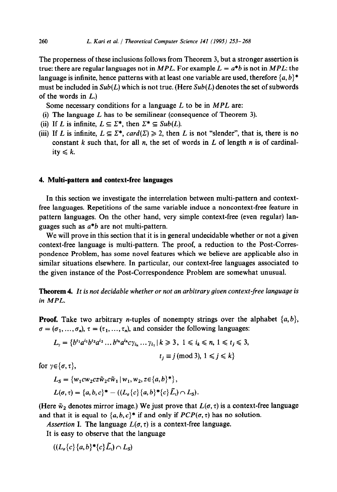The properness of these inclusions follows from Theorem 3, but a stronger assertion is true: there are regular languages not in *MPL*. For example  $L = a^*b$  is not in *MPL*: the language is infinite, hence patterns with at least one variable are used, therefore  $\{a, b\}^*$ must be included in *Sub(L)* which is not true. (Here *Sub(L)* denotes the set of subwords of the words in *L.)* 

Some necessary conditions for a language *L* to be in *MPL* are:

- (i) The language *L* has to be semilinear (consequence of Theorem 3).
- (ii) If *L* is infinite,  $L \subseteq \Sigma^*$ , then  $\Sigma^* \subseteq Sub(L)$ .
- (iii) If *L* is infinite,  $L \subseteq \Sigma^*$ ,  $card(\Sigma) \ge 2$ , then *L* is not "slender", that is, there is no constant  $k$  such that, for all  $n$ , the set of words in  $L$  of length  $n$  is of cardinality  $\leqslant k$ .

### 4. **Multi-pattern and context-free languages**

In this section we investigate the interrelation between multi-pattern and contextfree languages. Repetitions of the same variable induce a noncontext-free feature in pattern languages. On the other hand, very simple context-free (even regular) languages such as *a\*b* are not multi-pattern.

We will prove in this section that it is in general undecidable whether or not a given context-free language is multi-pattern. The proof, a reduction to the Post-Correspondence Problem, has some novel features which we believe are applicable also in similar situations elsewhere. In particular, our context-free languages associated to the given instance of the Post-Correspondence Problem are somewhat unusual.

**Theorem 4.** It *is not decidable whether or not an arbitrary given context-free language is in MPL.* 

**Proof.** Take two arbitrary *n*-tuples of nonempty strings over the alphabet  $\{a, b\}$ ,  $\sigma = (\sigma_1, ..., \sigma_n), \tau = (\tau_1, ..., \tau_n)$ , and consider the following languages:

$$
L_{\gamma} = \{b^{t_1}a^{i_1}b^{t_2}a^{i_2}\dots b^{t_k}a^{i_k}c\gamma_{i_k}\dots\gamma_{i_1} | k \geqslant 3, 1 \leqslant i_k \leqslant n, 1 \leqslant t_j \leqslant 3,
$$
  

$$
t_j \equiv j \pmod{3}, 1 \leqslant j \leqslant k\}
$$

for  $\gamma \in \{\sigma, \tau\},\$ 

$$
L_S = \{w_1 c w_2 c z \tilde{w}_2 c \tilde{w}_1 | w_1, w_2, z \in \{a, b\}^*\},
$$
  

$$
L(\sigma, \tau) = \{a, b, c\}^* - ((L_\sigma \{c\} \{a, b\}^* \{c\} \tilde{L}_\tau) \cap L_S)
$$

(Here  $\tilde{w}_2$  denotes mirror image.) We just prove that  $L(\sigma, \tau)$  is a context-free language and that it is equal to  $\{a, b, c\}^*$  if and only if  $PCP(\sigma, \tau)$  has no solution.

*Assertion I.* The language  $L(\sigma, \tau)$  is a context-free language.

It is easy to observe that the language

 $((L_{\sigma}\{c\}\{a,b\}^*\{c\}\tilde{L}_i) \cap L_s)$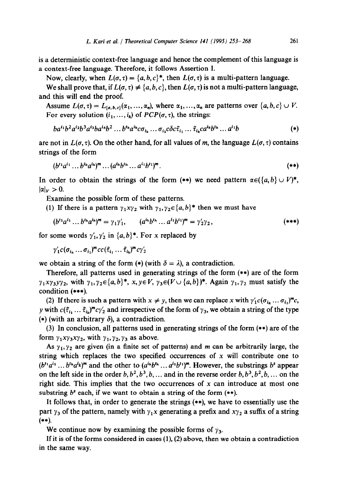is a deterministic context-free language and hence the complement of this language is a context-free language. Therefore, it follows Assertion I.

Now, clearly, when  $L(\sigma, \tau) = \{a, b, c\}^*$ , then  $L(\sigma, \tau)$  is a multi-pattern language.

We shall prove that, if  $L(\sigma, \tau) \neq \{a, b, c\}$ , then  $L(\sigma, \tau)$  is not a multi-pattern language, and this will end the proof.

Assume  $L(\sigma, \tau) = L_{\{a, b, c\}}(\alpha_1, ..., \alpha_n)$ , where  $\alpha_1, ..., \alpha_n$  are patterns over  $\{a, b, c\} \cup V$ . For every solution  $(i_1, ..., i_k)$  of  $PCP(\sigma, \tau)$ , the strings:

$$
ba^{i_1}b^2a^{i_2}b^3a^{i_3}ba^{i_4}b^2 \dots b^{i_k}a^{i_k}c\sigma_{i_k}\dots \sigma_{i_1}c\delta c\tilde{\tau}_{i_1}\dots \tilde{\tau}_{i_k}ca^{i_k}b^{i_k}\dots a^{i_1}b
$$
 (\*)

are not in  $L(\sigma, \tau)$ . On the other hand, for all values of m, the language  $L(\sigma, \tau)$  contains strings of the form

$$
(b^{t_1}a^{i_1}\ldots b^{i_k}a^{i_k})^m\ldots (a^{i_k}b^{t_k}\ldots a^{i_1}b^{t_1})^m.
$$

In order to obtain the strings of the form  $(**)$  we need pattern  $\alpha \in \{a, b\} \cup V^*$ ,  $|\alpha|_V > 0$ .

Examine the possible form of these patterns.

(1) If there is a pattern  $\gamma_1 x \gamma_2$  with  $\gamma_1, \gamma_2 \in \{a, b\}^*$  then we must have

$$
(b^{t_1}a^{i_1}\dots b^{t_k}a^{i_k})^m=\gamma_1\gamma'_1, \qquad (a^{i_k}b^{t_k}\dots a^{i_1}b^{t_1})^m=\gamma'_2\gamma_2, \qquad \qquad (***)
$$

for some words  $\gamma'_1, \gamma'_2$  in  $\{a, b\}^*$ . For x replaced by

 $\gamma_1'c(\sigma_{i_1}\ldots\sigma_{i_r})^m cc(\tilde{\tau}_{i_1}\ldots\tilde{\tau}_{i_r})^m c\gamma_2'$ 

we obtain a string of the form (\*) (with  $\delta = \lambda$ ), a contradiction.

Therefore, all patterns used in generating strings of the form (\*\*) are of the form  $\gamma_1 x \gamma_3 y \gamma_2$ , with  $\gamma_1, \gamma_2 \in \{a, b\}^*$ ,  $x, y \in V$ ,  $\gamma_3 \in (V \cup \{a, b\})^*$ . Again  $\gamma_1, \gamma_2$  must satisfy the condition (\*\*\*).

(2) If there is such a pattern with  $x \neq y$ , then we can replace x with  $\gamma_1'c(\sigma_{i_k} \dots \sigma_{i_l})^m c$ , y with  $c(\tilde{\tau}_{i_1},...,\tilde{\tau}_{i_k})^m c\gamma'_2$  and irrespective of the form of  $\gamma_3$ , we obtain a string of the type (\*) (with an arbitrary  $\delta$ ), a contradiction.

(3) In conclusion, all patterns used in generating strings of the form (\*\*) are of the form  $\gamma_1 x \gamma_3 x \gamma_2$ , with  $\gamma_1, \gamma_2, \gamma_3$  as above.

As  $\gamma_1, \gamma_2$  are given (in a finite set of patterns) and m can be arbitrarily large, the string which replaces the two specified occurrences of  $x$  will contribute one to  $(b^{t_1}a^{i_1} \dots b^{t_k}a^{i_k})^m$  and the other to  $(a^{i_k}b^{t_k} \dots a^{i_1}b^{t_1})^m$ . However, the substrings  $b^s$  appear on the left side in the order  $b, b^2, b^3, b, \ldots$  and in the reverse order  $b, b^3, b^2, b, \ldots$  on the right side. This implies that the two occurrences of  $x$  can introduce at most one substring  $b^s$  each, if we want to obtain a string of the form  $(**)$ .

It follows that, in order to generate the strings (\*\*), we have to essentially use the part  $\gamma_3$  of the pattern, namely with  $\gamma_1 x$  generating a prefix and  $xy_2$  a suffix of a string  $(**)$ .

We continue now by examining the possible forms of  $\gamma_3$ .

If it is of the forms considered in cases  $(1)$ ,  $(2)$  above, then we obtain a contradiction in the same way.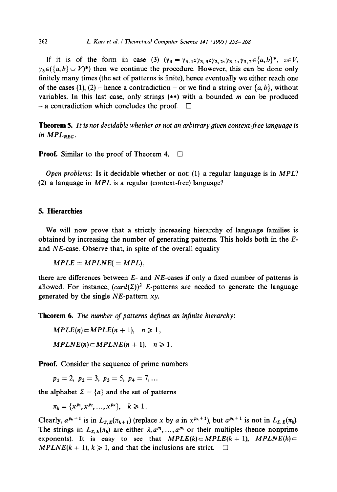If it is of the form in case (3)  $(y_3 = y_{3,1}zy_{3,3}zy_{3,2},y_{3,1},y_{3,2} \in \{a,b\}^*, z \in V$ ,  $\gamma_3 \in (\{a, b\} \cup V)^*$ ) then we continue the procedure. However, this can be done only finitely many times (the set of patterns is finite), hence eventually we either reach one of the cases (1), (2) – hence a contradiction – or we find a string over  $\{a, b\}$ , without variables. In this last case, only strings (\*\*) with a bounded m can be produced  $-$  a contradiction which concludes the proof.  $\Box$ 

**Theorem 5.** It *is not decidable whether or not an arbitrary given context-free language is in MPL<sub>REG</sub>*.

**Proof.** Similar to the proof of Theorem 4.  $\Box$ 

*Open problems:* Is it decidable whether or not: (1) a regular language is in *MPL? (2)* a language in *MPL* is a regular (context-free) language?

# **5. Hierarchies**

We will now prove that a strictly increasing hierarchy of language families is obtained by increasing the number of generating patterns. This holds both in the *E*and NE-case. Observe that, in spite of the overall equality

 $MPLE = MPLNE = MPL$ ).

there are differences between *E-* and NE-cases if only a fixed number of patterns is allowed. For instance,  $(card(\Sigma))^2$  E-patterns are needed to generate the language generated by the single  $NE$ -pattern xy.

**Theorem 6. The** *number of patterns dejnes an injinite hierarchy:* 

 $MPLE(n) \subset MPLE(n + 1), \quad n \geq 1,$  $MPLNE(n) \subset MPLNE(n + 1), \quad n \geq 1.$ 

**Proof.** Consider the sequence of prime numbers

 $p_1 = 2, p_2 = 3, p_3 = 5, p_4 = 7, ...$ 

the alphabet  $\Sigma = \{a\}$  and the set of patterns

$$
\pi_k = \{x^{p_1}, x^{p_2}, \ldots, x^{p_k}\}, \quad k \geq 1.
$$

Clearly,  $a^{p_k+1}$  is in  $L_{\Sigma,E}(\pi_{k+1})$  (replace x by a in  $x^{p_k+1}$ ), but  $a^{p_k+1}$  is not in  $L_{\Sigma,E}(\pi_k)$ . The strings in  $L_{\Sigma,E}(\pi_k)$  are either  $\lambda, a^{p_1}, \ldots, a^{p_k}$  or their multiples (hence nonprime exponents). It is easy to see that  $MPLE(k) \subset MPLE(k + 1)$ ,  $MPINE(k) \subset$ *MPLNE(k + 1), k*  $\geq$  *1, and that the inclusions are strict.*  $\Box$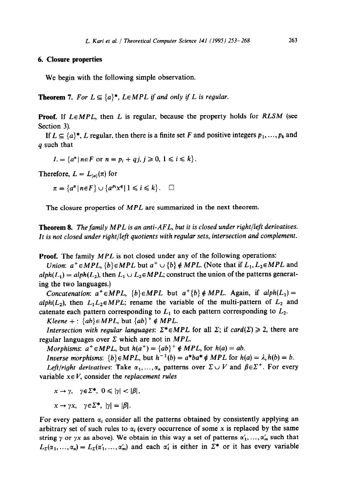## **6. Closure properties**

We begin with the following simple observation.

**Theorem 7.** For  $L \subseteq \{a\}^*$ ,  $L \in MPL$  if and only if L is regular.

**Proof.** If *LEMPL,* then *L* is regular, because the property holds for *RLSM (see*  Section 3).

If  $L \subseteq \{a\}^*$ , L regular, then there is a finite set F and positive integers  $p_1, \ldots, p_k$  and *q* such that

 $L = \{a^n \mid n \in F \text{ or } n = p_i + q_j, j \ge 0, 1 \le i \le k\}.$ 

Therefore,  $L = L_{\{a\}}(\pi)$  for

$$
\pi = \{a^n \mid n \in F\} \cup \{a^{pi} x^q \mid 1 \leq i \leq k\}. \quad \Box
$$

The closure properties of *MPL* are summarized in the next theorem.

**Theorem 8.** *Thefamily MPL is an anti-AFL, but it is closed under right/left derivatives. It is not closed under right/left quotients with regular sets, intersection and complement.* 

**Proof.** The family *MPL* is not closed under any of the following operations:

*Union:*  $a^+ \in MPL$ ,  $\{b\} \in MPL$  but  $a^+ \cup \{b\} \notin MPL$ . (Note that if  $L_1, L_2 \in MPL$  and  $a1ph(L_1) = a1ph(L_2)$ , then  $L_1 \cup L_2 \in MPL$ ; construct the union of the patterns generating the two languages.)

*Concatenation:*  $a^+ \in MPL$ ,  $\{b\} \in MPL$  but  $a^+\{b\} \notin MPL$ . Again, if  $alpha(L_1) =$ *alph(L<sub>2</sub>),* then  $L_1L_2 \in MPL$ ; rename the variable of the multi-pattern of  $L_2$  and catenate each pattern corresponding to  $L_1$  to each pattern corresponding to  $L_2$ .

*Kleene* + :  ${ab} \in MPL$ , but  ${ab}^+ \notin MPL$ .

*Intersection with regular languages:*  $\Sigma^* \in MPL$  for all  $\Sigma$ ; if *card*( $\Sigma$ )  $\geq$  2, there are regular languages over  $\Sigma$  which are not in *MPL*.

*Morphisms:*  $a^+ \in MPL$ , but  $h(a^+) = \{ab\}^+ \notin MPL$ , for  $h(a) = ab$ .

*Inverse morphisms:*  $\{b\} \in MPL$ , but  $h^{-1}(b) = a^*ba^* \notin MPL$  for  $h(a) = \lambda, h(b) = b$ . *Left/right derivatives:* Take  $\alpha_1, \ldots, \alpha_n$  patterns over  $\Sigma \cup V$  and  $\beta \in \Sigma^+$ . For every

variable  $x \in V$ , consider the *replacement rules* 

$$
x \to \gamma, \quad \gamma \in \Sigma^*, \ 0 \le |\gamma| < |\beta|,
$$

$$
x \to \gamma x, \quad \gamma \in \Sigma^*, \ |\gamma| = |\beta|.
$$

For every pattern  $\alpha_i$  consider all the patterns obtained by consistently applying an arbitrary set of such rules to  $\alpha_i$  (every occurrence of some x is replaced by the same string  $\gamma$  or  $\gamma x$  as above). We obtain in this way a set of patterns  $\alpha'_1, \ldots, \alpha'_m$  such that  $L_{\Sigma}(\alpha_1, ..., \alpha_n) = L_{\Sigma}(\alpha'_1, ..., \alpha'_m)$  and each  $\alpha'_i$  is either in  $\Sigma^*$  or it has every variable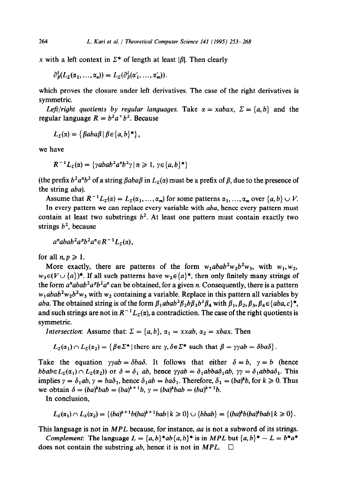x with a left context in  $\Sigma^*$  of length at least  $|\beta|$ . Then clearly

$$
\partial_{\beta}^{l}(L_{\Sigma}(\alpha_1, ..., \alpha_n)) = L_{\Sigma}(\partial_{\beta}^{l}(\alpha'_1, ..., \alpha'_m)).
$$

which proves the closure under left derivatives. The case of the right derivatives is symmetric.

*Left/right quotients by regular languages.* Take  $\alpha = xabax$ ,  $\Sigma = \{a, b\}$  and the regular language  $R = b^2 a^+ b^2$ . Because

$$
L_{\Sigma}(\alpha) = \{\beta aba\beta \,|\, \beta \in \{a,b\}^*\},\,
$$

**we** have

$$
R^{-1}L_{\Sigma}(\alpha) = \{\gamma abab^2a^nb^2\gamma \mid n \geq 1, \gamma \in \{a, b\}^*\}
$$

(the prefix  $b^2 a^n b^2$  of a string  $\beta a b a \beta$  in  $L_{\Sigma}(\alpha)$  must be a prefix of  $\beta$ , due to the presence of the string *aba).* 

Assume that  $R^{-1}L_{\Sigma}(\alpha) = L_{\Sigma}(\alpha_1, ..., \alpha_m)$  for some patterns  $\alpha_1, ..., \alpha_m$  over  $\{a, b\} \cup V$ .

In every pattern we can replace every variable with *aba,* hence every pattern must contain at least two substrings  $b^2$ . At least one pattern must contain exactly two strings *b2,* because

 $a<sup>n</sup>abab<sup>2</sup>a<sup>p</sup>b<sup>2</sup>a<sup>n</sup> \in R<sup>-1</sup>L<sub>r</sub>(\alpha)$ .

for all  $n, p \geq 1$ .

More exactly, there are patterns of the form  $w_1abab^2w_2b^2w_3$ , with  $w_1, w_2$ ,  $w_3 \in (V \cup \{a\})^*$ . If all such patterns have  $w_2 \in \{a\}^*$ , then only finitely many strings of the form  $a^nabab^2a^pb^2a^n$  can be obtained, for a given *n*. Consequently, there is a pattern  $w_1abab^2w_2b^2w_3$  with  $w_2$  containing a variable. Replace in this pattern all variables by *aba.* The obtained string is of the form  $\beta_1abab^2\beta_2b\beta_3b^2\beta_4$  with  $\beta_1, \beta_2, \beta_3, \beta_4 \in \{aba, c\}^*$ , and such strings are not in  $R^{-1}L_{\rm{F}}(\alpha)$ , a contradiction. The case of the right quotients is symmetric.

*Intersection:* Assume that:  $\Sigma = \{a, b\}$ ,  $\alpha_1 = x \times ab$ ,  $\alpha_2 = x \times b$ . Then

$$
L_{\Sigma}(\alpha_1) \cap L_{\Sigma}(\alpha_2) = \{ \beta \in \Sigma^* \mid \text{there are } \gamma, \delta \in \Sigma^* \text{ such that } \beta = \gamma \gamma ab = \delta ba \delta \}.
$$

Take the equation  $\gamma yab = \delta ba\delta$ . It follows that either  $\delta = b$ ,  $\gamma = b$  (hence *bbab* $E_L(\alpha_1) \cap L_{\Sigma}(\alpha_2)$  or  $\delta = \delta_1$  *ab*, hence  $\gamma y$ *ab* =  $\delta_1$ *abba* $\delta_1$ *ab*,  $\gamma y = \delta_1$ *abba* $\delta_1$ *.* This implies  $\gamma = \delta_1 ab$ ,  $\gamma = ba\delta_1$ , hence  $\delta_1 ab = ba\delta_1$ . Therefore,  $\delta_1 = (ba)^k b$ , for  $k \ge 0$ . Thus we obtain  $\delta = (ba)^k bab = (ba)^{k+1}b$ ,  $\gamma = (ba)^k bab = (ba)^{k+1}b$ .

In conclusion,

$$
L_z(\alpha_1) \cap L_z(\alpha_2) = \{ (ba)^{k+1}b(ba)^{k+1}bab \mid k \ge 0 \} \cup \{ bbab \} = \{ (ba)^k b(ba)^k bab \mid k \ge 0 \}.
$$

This language is not in *MPL* because, for instance, *aa* is not a subword of its strings.

*Complement:* The language  $L = \{a, b\}^*ab\{a, b\}^*$  is in *MPL* but  $\{a, b\}^* - L = b^*a^*$ does not contain the substring *ab*, hence it is not in *MPL*.  $\Box$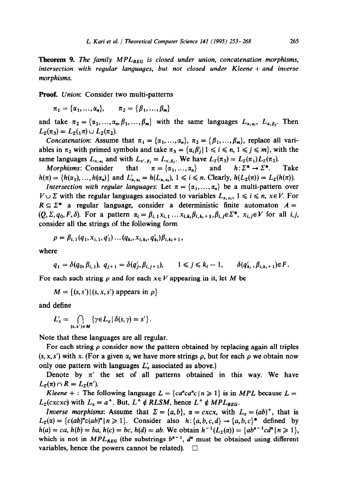**Theorem 9.** The family MPL<sub>REG</sub> is closed under union, concatenation morphisms, *intersection with regular languages, but not closed under Kleene + and inverse morphisms.* 

**Proof.** *Union:* Consider two multi-patterns

$$
\pi_1 = {\alpha_1, ..., \alpha_n}, \qquad \pi_2 = {\beta_1, ..., \beta_m}
$$

and take  $\pi_2 = {\alpha_1, ..., \alpha_m, \beta_1, ..., \beta_m}$  with the same languages  $L_{x, \alpha_i}, L_{x, \beta_i}$ . Then  $L_{\Sigma}(\pi_3) = L_{\Sigma}(1\pi) \cup L_{\Sigma}(\pi_2).$ 

*Concatenation:* Assume that  $\pi_1 = {\alpha_1, ..., \alpha_n}, \pi_2 = {\beta_1, ..., \beta_m},$  replace all variables in  $\pi_2$  with primed symbols and take  $\pi_3 = {\alpha_i \beta'_j | 1 \le i \le n, 1 \le j \le m}$ , with the same languages  $L_{x,\alpha_i}$  and with  $L_{x',\beta_i} = L_{x,\beta_i}$ . We have  $L_z(\pi_3) = L_z(\pi_1)L_z(\pi_2)$ .

*Morphisms:* Consider that  $\pi = {\alpha_1, ..., \alpha_n}$  and  $h: \Sigma^* \to \Sigma^*$ . Take  $h(\pi) = \{h(\alpha_1), ..., h(\alpha_n)\}\$ and  $L'_{x, \alpha_i} = h(L_{x, \alpha_i}), 1 \le i \le n$ . Clearly,  $h(L_{\Sigma}(\pi)) = L_{\Sigma}(h(\pi))$ .

*Intersection with regular languages:* Let  $\pi = {\alpha_1, ..., \alpha_n}$  be a multi-pattern over  $V \cup \Sigma$  with the regular languages associated to variables  $L_{x, \alpha_i}$ ,  $1 \le i \le n$ ,  $x \in V$ . For  $R \subseteq \Sigma^*$  a regular language, consider a deterministic finite automaton  $A =$  $(Q, \Sigma, q_0, F, \delta)$ . For a pattern  $\alpha_i = \beta_{i,1}x_{i,1} \dots x_{i,k_i}\beta_{i,k_i+1}, \beta_{i,j} \in \Sigma^*$ ,  $x_{i,j} \in V$  for all *i,j,* consider all the strings of the following form

$$
\rho = \beta_{i,1}(q_1, x_{i,1}, q'_1) \dots (q_{k_i}, x_{i,k_i}, q'_{k_i}) \beta_{i,k_i+1},
$$

where

$$
q_1 = \delta(q_0, \beta_{i,1}), \ q_{j+1} = \delta(q'_j, \beta_{i,j+1}), \qquad 1 \leq j \leq k_i - 1, \qquad \delta(q'_{k_i}, \beta_{i,k_i+1}) \in F.
$$

For each such string  $\rho$  and for each  $x \in V$  appearing in it, let M be

$$
M = \{(s, s') | (s, x, s') \text{ appears in } \rho\}
$$

and define

$$
L'_x = \bigcap_{(s,s')\in M} \left\{ \gamma \in L_x \, | \, \delta(s,\gamma) = s' \right\}.
$$

Note that these languages are all regular.

For each string  $\rho$  consider now the pattern obtained by replacing again all triples  $(s, x, s')$  with x. (For a given  $\alpha_i$  we have more strings  $\rho$ , but for each  $\rho$  we obtain now only one pattern with languages  $L_x$  associated as above.)

Denote by  $\pi'$  the set of all patterns obtained in this way. We have  $L_{\Sigma}(\pi) \cap R = L_{\Sigma}(\pi').$ 

*Kleene* + : The following language  $L = \{ca^nca^n c \mid n \ge 1\}$  is in *MPL* because  $L =$  $L_z(cxcx)$  with  $L_x = a^+$ . But,  $L^+ \notin RLSM$ , hence  $L^+ \notin MPL_{REG}$ .

*Inverse morphisms:* Assume that  $\Sigma = \{a, b\}$ ,  $\alpha = cxcx$ , with  $L_x = (ab)^+$ , that is  $L_z(\alpha) = \{c(ab)^n c(ab)^n \mid n \ge 1\}$ . Consider also  $h: \{a, b, c, d\} \rightarrow \{a, b, c\}^*$  defined by  $h(a) = ca, h(b) = ba, h(c) = bc, h(d) = ab.$  We obtain  $h^{-1}(L_{\mathcal{E}}(a)) = \{ab^{n-1}cd^{n} | n \ge 1\}$ , which is not in  $MPL_{REG}$  (the substrings  $b^{n-1}$ ,  $d^n$  must be obtained using different variables, hence the powers cannot be related).  $\Box$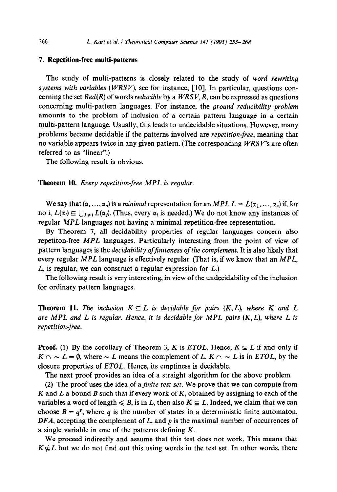## **7. Repetition-free multi-patterns**

The study of multi-patterns is closely related to the study of *word rewriting systems with variables (WRSV), see for instance, [10]. In particular, questions con*cerning the set *Red(R)* of words *reducible by* a *WRS V, R,* can be expressed as questions concerning multi-pattern languages. For instance, the *ground reducibility problem*  amounts to the problem of inclusion of a certain pattern language in a certain multi-pattern language. Usually, this leads to undecidable situations. However, many problems became decidable if the patterns involved are *repetition-free,* meaning that no variable appears twice in any given pattern. (The corresponding *WRSV's* are often referred to as "linear".)

The following result is obvious.

### **Theorem 10.** *Every repetition-free MPL is regular.*

We say that  $(\alpha, \ldots, \alpha_n)$  is a *minimal* representation for an *MPL L* =  $L(\alpha_1, \ldots, \alpha_n)$  if, for no *i*,  $L(\alpha_i) \subseteq \bigcup_{i \neq i} L(\alpha_i)$ . (Thus, every  $\alpha_i$  is needed.) We do not know any instances of regular *MPL* languages not having a minimal repetition-free representation.

By Theorem 7, all decidability properties of regular languages concern also repetiton-free *MPL* languages. Particularly interesting from the point of view of pattern languages is the *decidability of finiteness of the complement*. It is also likely that every regular *MPL* language is effectively regular. (That is, if we know that an *MPL, L,* is regular, we can construct a regular expression for *L.)* 

The following result is very interesting, in view of the undecidability of the inclusion for ordinary pattern languages.

**Theorem 11.** The inclusion  $K \subseteq L$  is decidable for pairs  $(K, L)$ , where K and L *are MPL and L is regular. Hence, it is decidable for MPL pairs (K, L), where L is repetition-free.* 

**Proof.** (1) By the corollary of Theorem 3, *K* is *ETOL*. Hence,  $K \subseteq L$  if and only if  $K \cap \sim L = \emptyset$ , where  $\sim L$  means the complement of *L. K*  $\cap \sim L$  is in *ETOL*, by the closure properties of *ETOL.* Hence, its emptiness is decidable.

The next proof provides an idea of a straight algorithm for the above problem.

(2) The proof uses the idea of *ajnite test set.* We prove that we can compute from *K* and *L* a bound *B* such that if every work of *K,* obtained by assigning to each of the variables a word of length  $\leq B$ , is in *L*, then also  $K \subseteq L$ . Indeed, we claim that we can choose  $B = q^p$ , where q is the number of states in a deterministic finite automaton, *DFA,* accepting the complement of *L,* and *p* is the maximal number of occurrences of a single variable in one of the patterns defining *K.* 

We proceed indirectly and assume that this test does not work. This means that  $K \neq L$  but we do not find out this using words in the test set. In other words, there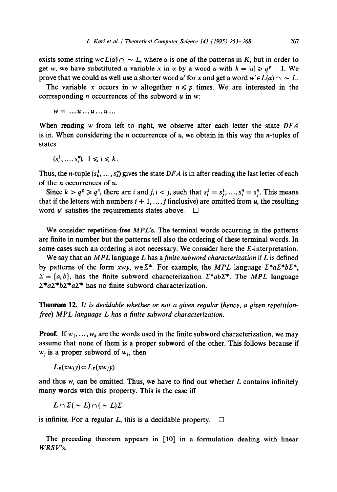exists some string  $w\in L(\alpha) \cap \sim L$ , where  $\alpha$  is one of the patterns in *K*, but in order to get w, we have substituted a variable x in  $\alpha$  by a word u with  $k = |u| \geq q^p + 1$ . We prove that we could as well use a shorter word u' for x and get a word  $w' \in L(\alpha) \cap \sim L$ .

The variable x occurs in w altogether  $n \leq p$  times. We are interested in the corresponding *n* occurrences of the subword u in w:

 $w = ... u ... u ... u ...$ 

When reading  $w$  from left to right, we observe after each letter the state  $DFA$ is in. When considering the  $n$  occurrences of  $u$ , we obtain in this way the  $n$ -tuples of states

 $(s_i^1, \ldots, s_i^n), \ 1 \leq i \leq k.$ 

Thus, the *n*-tuple  $(s_k^1, \ldots, s_k^n)$  gives the state DFA is in after reading the last letter of each of the *n* occurrences of u.

Since  $k > q^p \ge q^n$ , there are *i* and *j*,  $i < j$ , such that  $s_i^1 = s_i^1, \ldots, s_i^n = s_i^n$ . This means that if the letters with numbers  $i + 1, \ldots, j$  (inclusive) are omitted from u, the resulting word u' satisfies the requirements states above.  $\Box$ 

We consider repetition-free MPL's. The terminal words occurring in the patterns are finite in number but the patterns tell also the ordering of these terminal words. In some cases such an ordering is not necessary. We consider here the E-interpretation.

We say that an *MPL* language *L* has a *finite subword characterization* if *L* is defined by patterns of the form  $xwy$ ,  $w \in \Sigma^*$ . For example, the *MPL* language  $\Sigma^* a \Sigma^* b \Sigma^*$ ,  $\Sigma = \{a, b\}$ , has the finite subword characterization  $\Sigma^*$  ab $\Sigma^*$ . The *MPL* language  $\Sigma^* a \Sigma^* b \Sigma^* a \Sigma^*$  has no finite subword characterization.

**Theorem 12.** It *is decidable whether or not a given regular (hence, a given repetitionfree) MPL language L has* a *finite subword characterization.* 

**Proof.** If  $w_1, \ldots, w_k$  are the words used in the finite subword characterization, we may assume that none of them is a proper subword of the other. This follows because if  $w_i$  is a proper subword of  $w_i$ , then

 $L_E(xw_i y) \subset L_E(xw_i y)$ 

and thus  $w_i$  can be omitted. Thus, we have to find out whether  $L$  contains infinitely many words with this property. This is the case iff

 $L \cap \Sigma$ (  $\sim L$ ) $\cap$ (  $\sim L$ ) $\Sigma$ 

is infinite. For a regular  $L$ , this is a decidable property.  $\Box$ 

The preceding theorem appears in  $\lceil 10 \rceil$  in a formulation dealing with linear *WRS y's.*